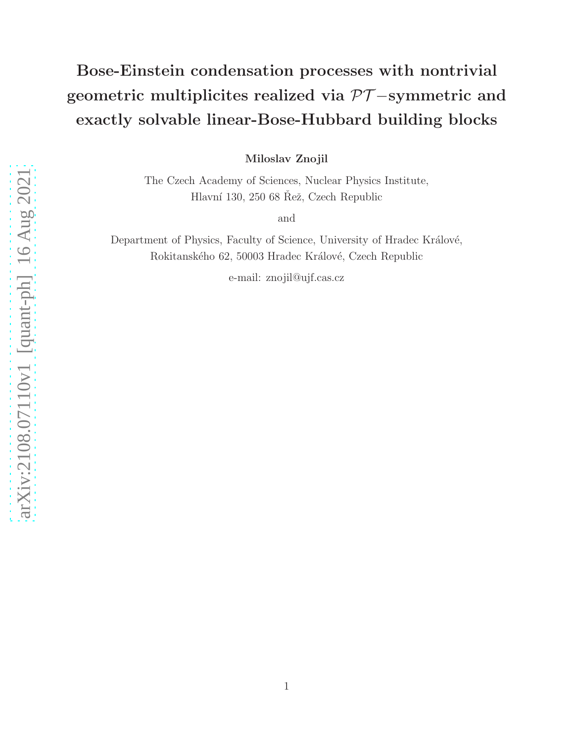# Bose-Einstein condensation processes with nontrivial geometric multiplicites realized via  $\mathcal{PT}-symmetric$  and exactly solvable linear-Bose-Hubbard building blocks

Miloslav Znojil

The Czech Academy of Sciences, Nuclear Physics Institute, Hlavní 130, 250 68 Rež, Czech Republic

and

Department of Physics, Faculty of Science, University of Hradec Králové, Rokitanského 62, 50003 Hradec Králové, Czech Republic

e-mail: znojil@ujf.cas.cz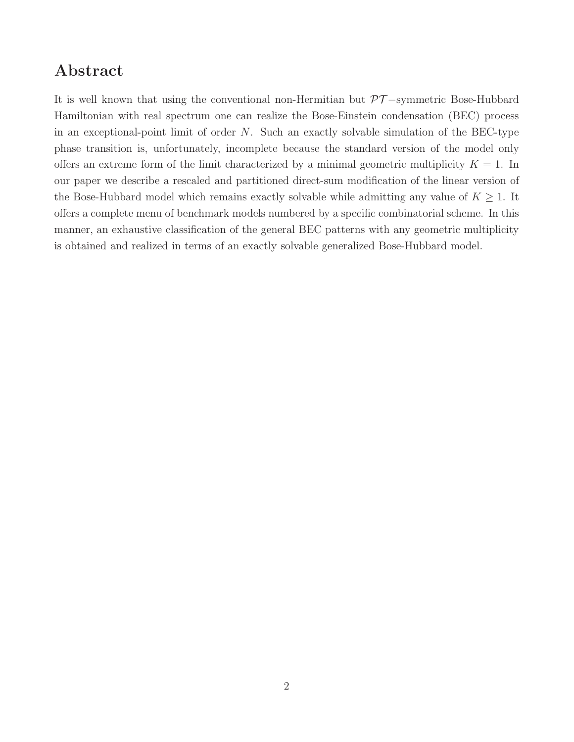# Abstract

It is well known that using the conventional non-Hermitian but PT −symmetric Bose-Hubbard Hamiltonian with real spectrum one can realize the Bose-Einstein condensation (BEC) process in an exceptional-point limit of order N. Such an exactly solvable simulation of the BEC-type phase transition is, unfortunately, incomplete because the standard version of the model only offers an extreme form of the limit characterized by a minimal geometric multiplicity  $K = 1$ . In our paper we describe a rescaled and partitioned direct-sum modification of the linear version of the Bose-Hubbard model which remains exactly solvable while admitting any value of  $K \geq 1$ . It offers a complete menu of benchmark models numbered by a specific combinatorial scheme. In this manner, an exhaustive classification of the general BEC patterns with any geometric multiplicity is obtained and realized in terms of an exactly solvable generalized Bose-Hubbard model.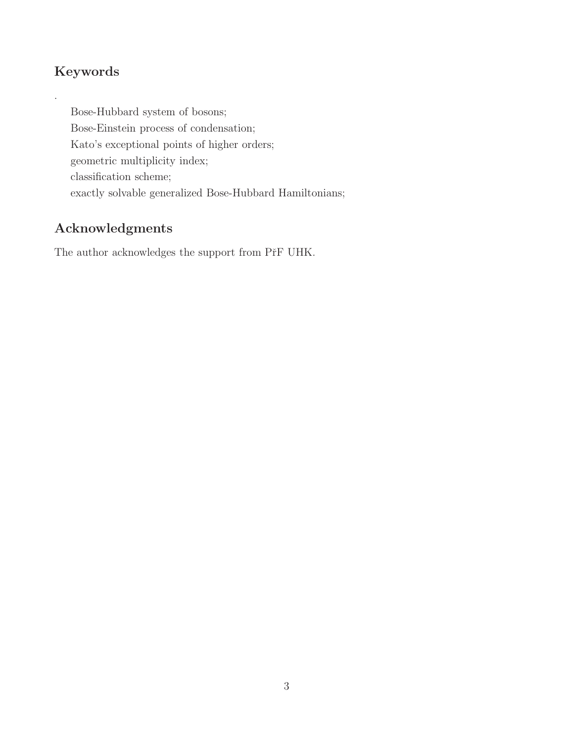# Keywords

.

Bose-Hubbard system of bosons; Bose-Einstein process of condensation; Kato's exceptional points of higher orders; geometric multiplicity index; classification scheme; exactly solvable generalized Bose-Hubbard Hamiltonians;

# Acknowledgments

The author acknowledges the support from PřF UHK.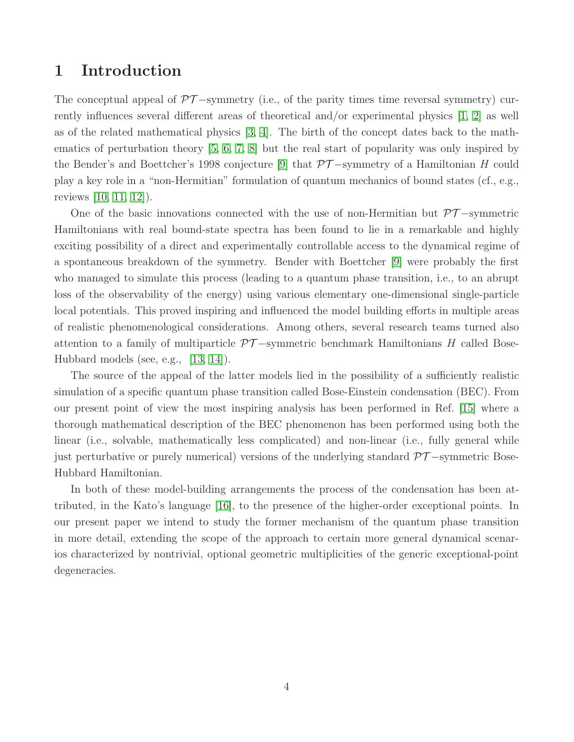### 1 Introduction

The conceptual appeal of  $\mathcal{PT}-symmetry$  (i.e., of the parity times time reversal symmetry) currently influences several different areas of theoretical and/or experimental physics [\[1,](#page-23-0) [2\]](#page-23-1) as well as of the related mathematical physics [\[3,](#page-23-2) [4\]](#page-23-3). The birth of the concept dates back to the mathematics of perturbation theory [\[5,](#page-23-4) [6,](#page-23-5) [7,](#page-23-6) [8\]](#page-23-7) but the real start of popularity was only inspired by the Bender's and Boettcher's 1998 conjecture [\[9\]](#page-23-8) that  $\mathcal{PT}-$ symmetry of a Hamiltonian H could play a key role in a "non-Hermitian" formulation of quantum mechanics of bound states (cf., e.g., reviews [\[10,](#page-23-9) [11,](#page-23-10) [12\]](#page-23-11)).

One of the basic innovations connected with the use of non-Hermitian but  $\mathcal{PT}-symmetric$ Hamiltonians with real bound-state spectra has been found to lie in a remarkable and highly exciting possibility of a direct and experimentally controllable access to the dynamical regime of a spontaneous breakdown of the symmetry. Bender with Boettcher [\[9\]](#page-23-8) were probably the first who managed to simulate this process (leading to a quantum phase transition, i.e., to an abrupt loss of the observability of the energy) using various elementary one-dimensional single-particle local potentials. This proved inspiring and influenced the model building efforts in multiple areas of realistic phenomenological considerations. Among others, several research teams turned also attention to a family of multiparticle  $\mathcal{PT}-$ symmetric benchmark Hamiltonians H called Bose-Hubbard models (see, e.g., [\[13,](#page-23-12) [14\]](#page-23-13)).

The source of the appeal of the latter models lied in the possibility of a sufficiently realistic simulation of a specific quantum phase transition called Bose-Einstein condensation (BEC). From our present point of view the most inspiring analysis has been performed in Ref. [\[15\]](#page-23-14) where a thorough mathematical description of the BEC phenomenon has been performed using both the linear (i.e., solvable, mathematically less complicated) and non-linear (i.e., fully general while just perturbative or purely numerical) versions of the underlying standard  $\mathcal{PT}-symmetric$  Bose-Hubbard Hamiltonian.

In both of these model-building arrangements the process of the condensation has been attributed, in the Kato's language [\[16\]](#page-23-15), to the presence of the higher-order exceptional points. In our present paper we intend to study the former mechanism of the quantum phase transition in more detail, extending the scope of the approach to certain more general dynamical scenarios characterized by nontrivial, optional geometric multiplicities of the generic exceptional-point degeneracies.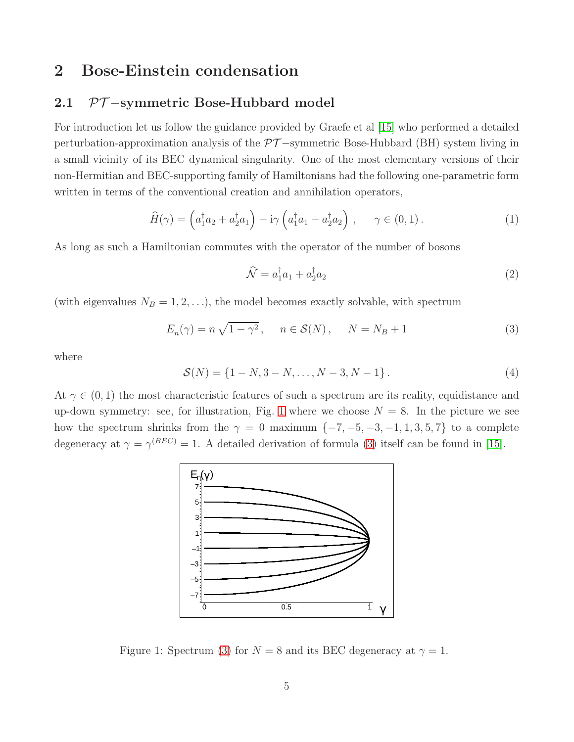### 2 Bose-Einstein condensation

### 2.1 *PT* −symmetric Bose-Hubbard model

For introduction let us follow the guidance provided by Graefe et al [\[15\]](#page-23-14) who performed a detailed perturbation-approximation analysis of the  $\mathcal{PT}-$ symmetric Bose-Hubbard (BH) system living in a small vicinity of its BEC dynamical singularity. One of the most elementary versions of their non-Hermitian and BEC-supporting family of Hamiltonians had the following one-parametric form written in terms of the conventional creation and annihilation operators,

<span id="page-4-2"></span>
$$
\widehat{H}(\gamma) = \left(a_1^\dagger a_2 + a_2^\dagger a_1\right) - i\gamma \left(a_1^\dagger a_1 - a_2^\dagger a_2\right), \quad \gamma \in (0, 1).
$$
\n(1)

As long as such a Hamiltonian commutes with the operator of the number of bosons

<span id="page-4-4"></span>
$$
\widehat{\mathcal{N}} = a_1^{\dagger} a_1 + a_2^{\dagger} a_2 \tag{2}
$$

(with eigenvalues  $N_B = 1, 2, \ldots$ ), the model becomes exactly solvable, with spectrum

<span id="page-4-1"></span>
$$
E_n(\gamma) = n\sqrt{1 - \gamma^2}, \quad n \in \mathcal{S}(N), \quad N = N_B + 1
$$
\n(3)

where

<span id="page-4-3"></span>
$$
S(N) = \{1 - N, 3 - N, \dots, N - 3, N - 1\}.
$$
\n(4)

At  $\gamma \in (0,1)$  the most characteristic features of such a spectrum are its reality, equidistance and up-down symmetry: see, for illustration, Fig. [1](#page-4-0) where we choose  $N = 8$ . In the picture we see how the spectrum shrinks from the  $\gamma = 0$  maximum  $\{-7, -5, -3, -1, 1, 3, 5, 7\}$  to a complete degeneracy at  $\gamma = \gamma^{(BEC)} = 1$ . A detailed derivation of formula [\(3\)](#page-4-1) itself can be found in [\[15\]](#page-23-14).



<span id="page-4-0"></span>Figure 1: Spectrum [\(3\)](#page-4-1) for  $N = 8$  and its BEC degeneracy at  $\gamma = 1$ .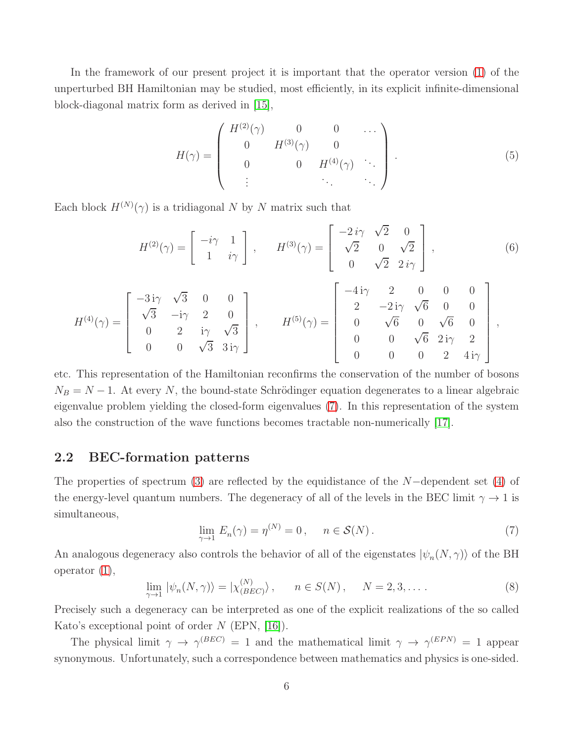In the framework of our present project it is important that the operator version [\(1\)](#page-4-2) of the unperturbed BH Hamiltonian may be studied, most efficiently, in its explicit infinite-dimensional block-diagonal matrix form as derived in [\[15\]](#page-23-14),

<span id="page-5-2"></span>
$$
H(\gamma) = \begin{pmatrix} H^{(2)}(\gamma) & 0 & 0 & \cdots \\ 0 & H^{(3)}(\gamma) & 0 & \\ 0 & 0 & H^{(4)}(\gamma) & \cdots \\ \vdots & \ddots & \ddots & \ddots \end{pmatrix} . \tag{5}
$$

Each block  $H^{(N)}(\gamma)$  is a tridiagonal N by N matrix such that

<span id="page-5-3"></span>
$$
H^{(2)}(\gamma) = \begin{bmatrix} -i\gamma & 1\\ 1 & i\gamma \end{bmatrix}, \qquad H^{(3)}(\gamma) = \begin{bmatrix} -2i\gamma & \sqrt{2} & 0\\ \sqrt{2} & 0 & \sqrt{2} \\ 0 & \sqrt{2} & 2i\gamma \end{bmatrix}, \tag{6}
$$

 $\overline{a}$ 

$$
H^{(4)}(\gamma) = \begin{bmatrix} -3i\gamma & \sqrt{3} & 0 & 0 \\ \sqrt{3} & -i\gamma & 2 & 0 \\ 0 & 2 & i\gamma & \sqrt{3} \\ 0 & 0 & \sqrt{3} & 3i\gamma \end{bmatrix}, \qquad H^{(5)}(\gamma) = \begin{bmatrix} -4i\gamma & 2 & 0 & 0 & 0 \\ 2 & -2i\gamma & \sqrt{6} & 0 & 0 \\ 0 & \sqrt{6} & 0 & \sqrt{6} & 0 \\ 0 & 0 & \sqrt{6} & 2i\gamma & 2 \\ 0 & 0 & 0 & 2 & 4i\gamma \end{bmatrix},
$$

etc. This representation of the Hamiltonian reconfirms the conservation of the number of bosons  $N_B = N - 1$ . At every N, the bound-state Schrödinger equation degenerates to a linear algebraic eigenvalue problem yielding the closed-form eigenvalues [\(7\)](#page-5-0). In this representation of the system also the construction of the wave functions becomes tractable non-numerically [\[17\]](#page-24-0).

#### 2.2 BEC-formation patterns

The properties of spectrum [\(3\)](#page-4-1) are reflected by the equidistance of the N−dependent set [\(4\)](#page-4-3) of the energy-level quantum numbers. The degeneracy of all of the levels in the BEC limit  $\gamma \to 1$  is simultaneous,

<span id="page-5-0"></span>
$$
\lim_{\gamma \to 1} E_n(\gamma) = \eta^{(N)} = 0, \quad n \in \mathcal{S}(N).
$$
\n(7)

An analogous degeneracy also controls the behavior of all of the eigenstates  $|\psi_n(N, \gamma)\rangle$  of the BH operator [\(1\)](#page-4-2),

<span id="page-5-1"></span>
$$
\lim_{\gamma \to 1} |\psi_n(N, \gamma)\rangle = |\chi_{(BEC)}^{(N)}\rangle, \qquad n \in S(N), \qquad N = 2, 3, \dots
$$
 (8)

Precisely such a degeneracy can be interpreted as one of the explicit realizations of the so called Kato's exceptional point of order  $N$  (EPN, [\[16\]](#page-23-15)).

The physical limit  $\gamma \to \gamma^{(BEC)} = 1$  and the mathematical limit  $\gamma \to \gamma^{(EPN)} = 1$  appear synonymous. Unfortunately, such a correspondence between mathematics and physics is one-sided.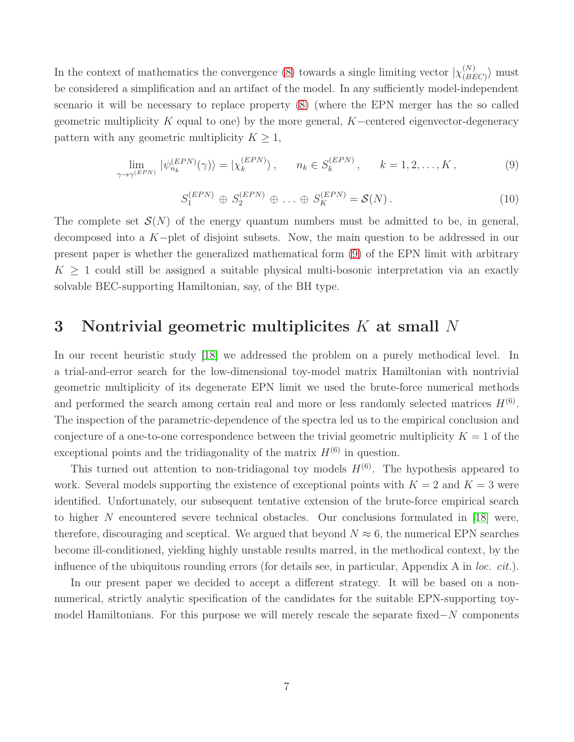In the context of mathematics the convergence [\(8\)](#page-5-1) towards a single limiting vector  $|\chi_{(BE)}^{(N)}|$  $\binom{N}{(BEC)}$  must be considered a simplification and an artifact of the model. In any sufficiently model-independent scenario it will be necessary to replace property [\(8\)](#page-5-1) (where the EPN merger has the so called geometric multiplicity K equal to one) by the more general,  $K$ -centered eigenvector-degeneracy pattern with any geometric multiplicity  $K \geq 1$ ,

<span id="page-6-0"></span>
$$
\lim_{\gamma \to \gamma^{(EPN)}} |\psi_{n_k}^{(EPN)}(\gamma)\rangle = |\chi_k^{(EPN)}\rangle, \qquad n_k \in S_k^{(EPN)}, \qquad k = 1, 2, \dots, K,
$$
\n(9)

<span id="page-6-2"></span>
$$
S_1^{(EPN)} \oplus S_2^{(EPN)} \oplus \ldots \oplus S_K^{(EPN)} = \mathcal{S}(N). \tag{10}
$$

The complete set  $\mathcal{S}(N)$  of the energy quantum numbers must be admitted to be, in general, decomposed into a K−plet of disjoint subsets. Now, the main question to be addressed in our present paper is whether the generalized mathematical form [\(9\)](#page-6-0) of the EPN limit with arbitrary  $K \geq 1$  could still be assigned a suitable physical multi-bosonic interpretation via an exactly solvable BEC-supporting Hamiltonian, say, of the BH type.

# <span id="page-6-1"></span>3 Nontrivial geometric multiplicites K at small N

In our recent heuristic study [\[18\]](#page-24-1) we addressed the problem on a purely methodical level. In a trial-and-error search for the low-dimensional toy-model matrix Hamiltonian with nontrivial geometric multiplicity of its degenerate EPN limit we used the brute-force numerical methods and performed the search among certain real and more or less randomly selected matrices  $H^{(6)}$ . The inspection of the parametric-dependence of the spectra led us to the empirical conclusion and conjecture of a one-to-one correspondence between the trivial geometric multiplicity  $K = 1$  of the exceptional points and the tridiagonality of the matrix  $H^{(6)}$  in question.

This turned out attention to non-tridiagonal toy models  $H^{(6)}$ . The hypothesis appeared to work. Several models supporting the existence of exceptional points with  $K = 2$  and  $K = 3$  were identified. Unfortunately, our subsequent tentative extension of the brute-force empirical search to higher N encountered severe technical obstacles. Our conclusions formulated in [\[18\]](#page-24-1) were, therefore, discouraging and sceptical. We argued that beyond  $N \approx 6$ , the numerical EPN searches become ill-conditioned, yielding highly unstable results marred, in the methodical context, by the influence of the ubiquitous rounding errors (for details see, in particular, Appendix A in loc. cit.).

In our present paper we decided to accept a different strategy. It will be based on a nonnumerical, strictly analytic specification of the candidates for the suitable EPN-supporting toymodel Hamiltonians. For this purpose we will merely rescale the separate fixed−N components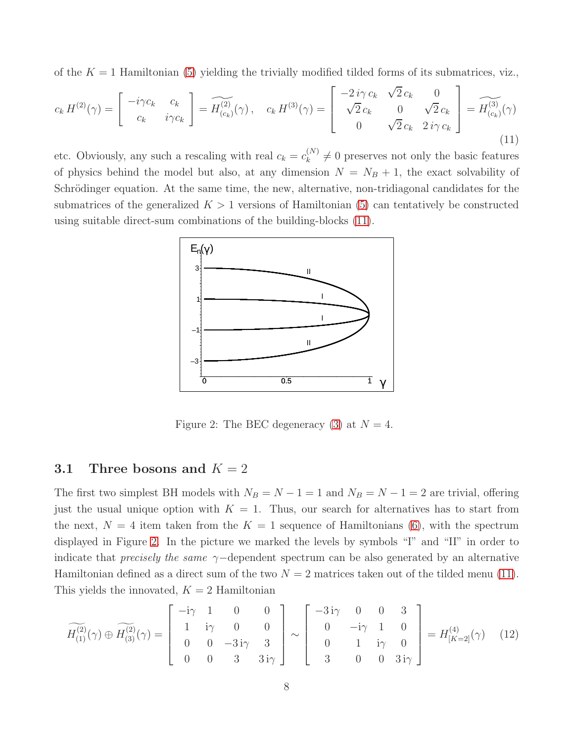of the  $K = 1$  Hamiltonian [\(5\)](#page-5-2) yielding the trivially modified tilded forms of its submatrices, viz.,

<span id="page-7-0"></span>
$$
c_k H^{(2)}(\gamma) = \begin{bmatrix} -i\gamma c_k & c_k \\ c_k & i\gamma c_k \end{bmatrix} = \widetilde{H_{(c_k)}^{(2)}}(\gamma), \quad c_k H^{(3)}(\gamma) = \begin{bmatrix} -2i\gamma c_k & \sqrt{2} c_k & 0 \\ \sqrt{2} c_k & 0 & \sqrt{2} c_k \\ 0 & \sqrt{2} c_k & 2i\gamma c_k \end{bmatrix} = \widetilde{H_{(c_k)}^{(3)}}(\gamma)
$$
\n(11)

etc. Obviously, any such a rescaling with real  $c_k = c_k^{(N)}$  $\binom{N}{k} \neq 0$  preserves not only the basic features of physics behind the model but also, at any dimension  $N = N_B + 1$ , the exact solvability of Schrödinger equation. At the same time, the new, alternative, non-tridiagonal candidates for the submatrices of the generalized  $K > 1$  versions of Hamiltonian [\(5\)](#page-5-2) can tentatively be constructed using suitable direct-sum combinations of the building-blocks [\(11\)](#page-7-0).



<span id="page-7-1"></span>Figure 2: The BEC degeneracy [\(3\)](#page-4-1) at  $N = 4$ .

#### 3.1 Three bosons and  $K = 2$

The first two simplest BH models with  $N_B = N - 1 = 1$  and  $N_B = N - 1 = 2$  are trivial, offering just the usual unique option with  $K = 1$ . Thus, our search for alternatives has to start from the next,  $N = 4$  item taken from the  $K = 1$  sequence of Hamiltonians [\(6\)](#page-5-3), with the spectrum displayed in Figure [2.](#page-7-1) In the picture we marked the levels by symbols "I" and "II" in order to indicate that *precisely the same*  $\gamma$ -dependent spectrum can be also generated by an alternative Hamiltonian defined as a direct sum of the two  $N = 2$  matrices taken out of the tilded menu [\(11\)](#page-7-0). This yields the innovated,  $K = 2$  Hamiltonian

<span id="page-7-2"></span>
$$
\widetilde{H_{(1)}^{(2)}}(\gamma) \oplus \widetilde{H_{(3)}^{(2)}}(\gamma) = \begin{bmatrix} -i\gamma & 1 & 0 & 0 \\ 1 & i\gamma & 0 & 0 \\ 0 & 0 & -3i\gamma & 3 \\ 0 & 0 & 3 & 3i\gamma \end{bmatrix} \sim \begin{bmatrix} -3i\gamma & 0 & 0 & 3 \\ 0 & -i\gamma & 1 & 0 \\ 0 & 1 & i\gamma & 0 \\ 3 & 0 & 0 & 3i\gamma \end{bmatrix} = H_{[K=2]}^{(4)}(\gamma) \quad (12)
$$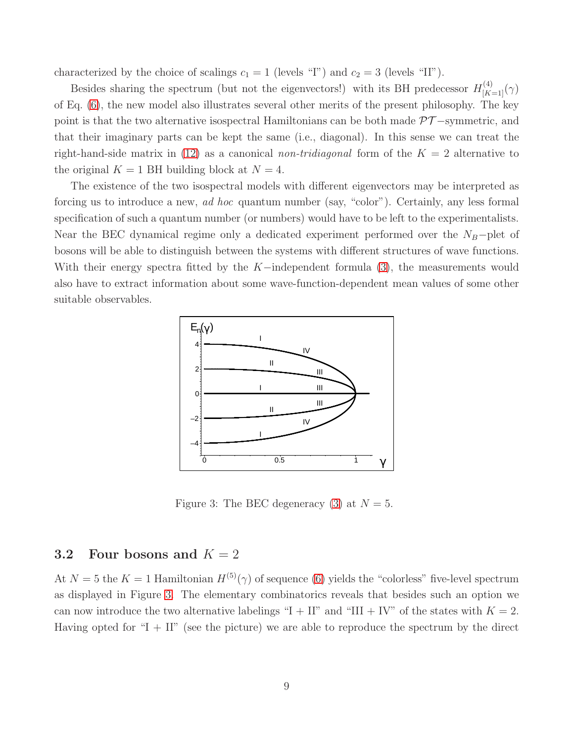characterized by the choice of scalings  $c_1 = 1$  (levels "I") and  $c_2 = 3$  (levels "II").

Besides sharing the spectrum (but not the eigenvectors!) with its BH predecessor  $H_{[K=1]}^{(4)}(\gamma)$ of Eq. [\(6\)](#page-5-3), the new model also illustrates several other merits of the present philosophy. The key point is that the two alternative isospectral Hamiltonians can be both made PT −symmetric, and that their imaginary parts can be kept the same (i.e., diagonal). In this sense we can treat the right-hand-side matrix in [\(12\)](#page-7-2) as a canonical non-tridiagonal form of the  $K = 2$  alternative to the original  $K = 1$  BH building block at  $N = 4$ .

The existence of the two isospectral models with different eigenvectors may be interpreted as forcing us to introduce a new, ad hoc quantum number (say, "color"). Certainly, any less formal specification of such a quantum number (or numbers) would have to be left to the experimentalists. Near the BEC dynamical regime only a dedicated experiment performed over the  $N_B$ −plet of bosons will be able to distinguish between the systems with different structures of wave functions. With their energy spectra fitted by the K−independent formula [\(3\)](#page-4-1), the measurements would also have to extract information about some wave-function-dependent mean values of some other suitable observables.



<span id="page-8-0"></span>Figure 3: The BEC degeneracy [\(3\)](#page-4-1) at  $N = 5$ .

### 3.2 Four bosons and  $K = 2$

At  $N = 5$  the  $K = 1$  Hamiltonian  $H^{(5)}(\gamma)$  of sequence [\(6\)](#page-5-3) yields the "colorless" five-level spectrum as displayed in Figure [3.](#page-8-0) The elementary combinatorics reveals that besides such an option we can now introduce the two alternative labelings "I + II" and "III + IV" of the states with  $K = 2$ . Having opted for " $I + II$ " (see the picture) we are able to reproduce the spectrum by the direct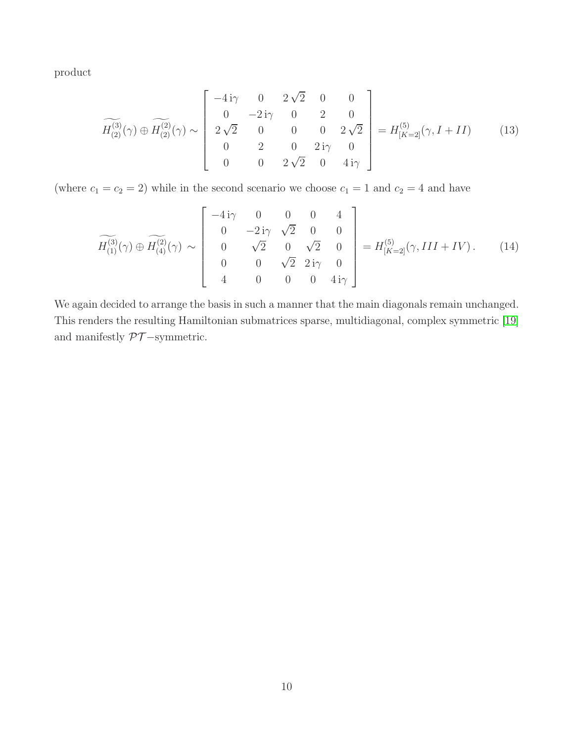product

<span id="page-9-1"></span>
$$
\widetilde{H_{(2)}^{(3)}}(\gamma) \oplus \widetilde{H_{(2)}^{(2)}}(\gamma) \sim \begin{bmatrix} -4i\gamma & 0 & 2\sqrt{2} & 0 & 0\\ 0 & -2i\gamma & 0 & 2 & 0\\ 2\sqrt{2} & 0 & 0 & 0 & 2\sqrt{2}\\ 0 & 2 & 0 & 2i\gamma & 0\\ 0 & 0 & 2\sqrt{2} & 0 & 4i\gamma \end{bmatrix} = H_{[K=2]}^{(5)}(\gamma, I + II) \tag{13}
$$

(where  $c_1 = c_2 = 2$ ) while in the second scenario we choose  $c_1 = 1$  and  $c_2 = 4$  and have

<span id="page-9-0"></span>
$$
\widetilde{H_{(1)}^{(3)}}(\gamma) \oplus \widetilde{H_{(4)}^{(2)}}(\gamma) \sim \begin{bmatrix} -4i\gamma & 0 & 0 & 0 & 4\\ 0 & -2i\gamma & \sqrt{2} & 0 & 0\\ 0 & \sqrt{2} & 0 & \sqrt{2} & 0\\ 0 & 0 & \sqrt{2} & 2i\gamma & 0\\ 4 & 0 & 0 & 0 & 4i\gamma \end{bmatrix} = H_{[K=2]}^{(5)}(\gamma, III + IV). \tag{14}
$$

We again decided to arrange the basis in such a manner that the main diagonals remain unchanged. This renders the resulting Hamiltonian submatrices sparse, multidiagonal, complex symmetric [\[19\]](#page-24-2) and manifestly  $\mathcal{PT}-\mathrm{symmetric}.$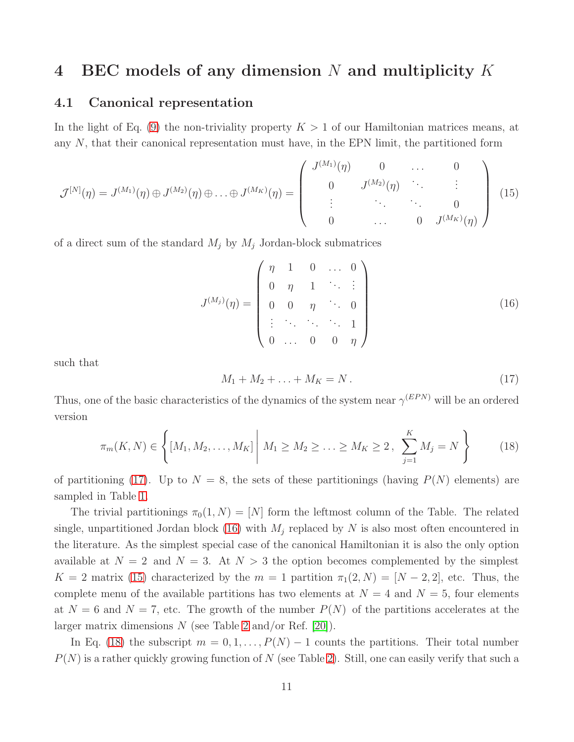### 4 BEC models of any dimension N and multiplicity K

#### 4.1 Canonical representation

In the light of Eq. [\(9\)](#page-6-0) the non-triviality property  $K > 1$  of our Hamiltonian matrices means, at any  $N$ , that their canonical representation must have, in the EPN limit, the partitioned form

<span id="page-10-2"></span>
$$
\mathcal{J}^{[N]}(\eta) = J^{(M_1)}(\eta) \oplus J^{(M_2)}(\eta) \oplus \ldots \oplus J^{(M_K)}(\eta) = \begin{pmatrix} J^{(M_1)}(\eta) & 0 & \ldots & 0 \\ 0 & J^{(M_2)}(\eta) & \ddots & \vdots \\ \vdots & \ddots & \ddots & 0 \\ 0 & \ldots & 0 & J^{(M_K)}(\eta) \end{pmatrix}
$$
(15)

of a direct sum of the standard  $M_i$  by  $M_j$  Jordan-block submatrices

<span id="page-10-1"></span>
$$
J^{(M_j)}(\eta) = \begin{pmatrix} \eta & 1 & 0 & \dots & 0 \\ 0 & \eta & 1 & \ddots & \vdots \\ 0 & 0 & \eta & \ddots & 0 \\ \vdots & \ddots & \ddots & \ddots & 1 \\ 0 & \dots & 0 & 0 & \eta \end{pmatrix}
$$
(16)

such that

<span id="page-10-0"></span>
$$
M_1 + M_2 + \ldots + M_K = N. \tag{17}
$$

Thus, one of the basic characteristics of the dynamics of the system near  $\gamma^{(EPN)}$  will be an ordered version

<span id="page-10-3"></span>
$$
\pi_m(K, N) \in \left\{ [M_1, M_2, \dots, M_K] \middle| M_1 \ge M_2 \ge \dots \ge M_K \ge 2, \sum_{j=1}^K M_j = N \right\}
$$
 (18)

of partitioning [\(17\)](#page-10-0). Up to  $N = 8$ , the sets of these partitionings (having  $P(N)$  elements) are sampled in Table [1.](#page-11-0)

The trivial partitionings  $\pi_0(1, N) = [N]$  form the leftmost column of the Table. The related single, unpartitioned Jordan block [\(16\)](#page-10-1) with  $M_j$  replaced by N is also most often encountered in the literature. As the simplest special case of the canonical Hamiltonian it is also the only option available at  $N = 2$  and  $N = 3$ . At  $N > 3$  the option becomes complemented by the simplest  $K = 2$  matrix [\(15\)](#page-10-2) characterized by the  $m = 1$  partition  $\pi_1(2, N) = [N - 2, 2]$ , etc. Thus, the complete menu of the available partitions has two elements at  $N = 4$  and  $N = 5$ , four elements at  $N = 6$  and  $N = 7$ , etc. The growth of the number  $P(N)$  of the partitions accelerates at the larger matrix dimensions  $N$  (see Table [2](#page-11-1) and/or Ref. [\[20\]](#page-24-3)).

In Eq. [\(18\)](#page-10-3) the subscript  $m = 0, 1, ..., P(N) - 1$  counts the partitions. Their total number  $P(N)$  is a rather quickly growing function of N (see Table [2\)](#page-11-1). Still, one can easily verify that such a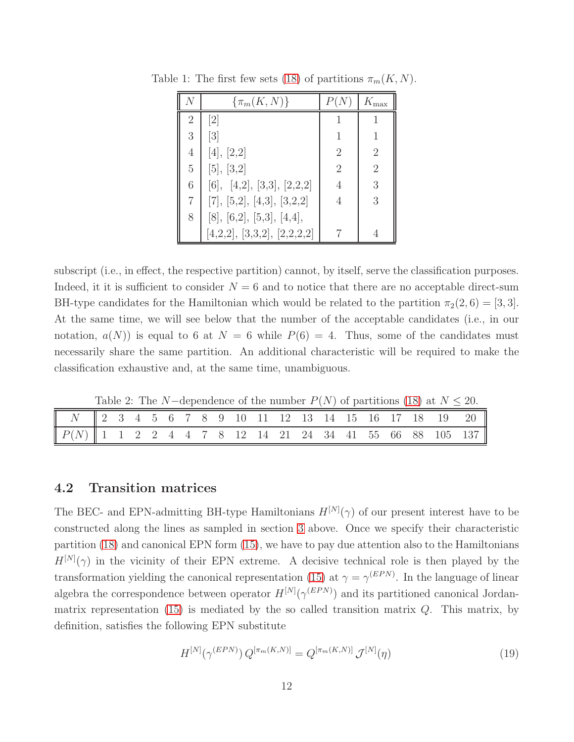<span id="page-11-0"></span>

|   | $\{\pi_m(K,N)\}\$           |                | $K_{\rm max}$  |
|---|-----------------------------|----------------|----------------|
| 2 | $\left[2\right]$            |                |                |
| 3 | $\left[3\right]$            |                | 1              |
| 4 | [4], [2,2]                  | $\overline{2}$ | $\overline{2}$ |
| 5 | [5], [3,2]                  | $\overline{2}$ | $\overline{2}$ |
| 6 | [6], [4,2], [3,3], [2,2,2]  | 4              | 3              |
| 7 | [7], [5,2], [4,3], [3,2,2]  | 4              | 3              |
| 8 | [8], [6,2], [5,3], [4,4],   |                |                |
|   | [4,2,2], [3,3,2], [2,2,2,2] |                |                |

Table 1: The first few sets [\(18\)](#page-10-3) of partitions  $\pi_m(K, N)$ .

subscript (i.e., in effect, the respective partition) cannot, by itself, serve the classification purposes. Indeed, it it is sufficient to consider  $N = 6$  and to notice that there are no acceptable direct-sum BH-type candidates for the Hamiltonian which would be related to the partition  $\pi_2(2, 6) = [3, 3]$ . At the same time, we will see below that the number of the acceptable candidates (i.e., in our notation,  $a(N)$  is equal to 6 at  $N = 6$  while  $P(6) = 4$ . Thus, some of the candidates must necessarily share the same partition. An additional characteristic will be required to make the classification exhaustive and, at the same time, unambiguous.

<span id="page-11-1"></span>Table 2: The N−dependence of the number  $P(N)$  of partitions [\(18\)](#page-10-3) at  $N \leq 20$ .

| $N$    $2$ 3 4 5 6 7 8 9 10 11 12 13 14 15 16 17 18 19 20                                                                                            |  |  |  |  |  |  |  |  |  |  |
|------------------------------------------------------------------------------------------------------------------------------------------------------|--|--|--|--|--|--|--|--|--|--|
| $\begin{array}{ c ccccccccccc }\n\hline\nP(N) & 1 & 1 & 2 & 2 & 4 & 4 & 7 & 8 & 12 & 14 & 21 & 24 & 34 & 41 & 55 & 66 & 88 & 105 & 137\n\end{array}$ |  |  |  |  |  |  |  |  |  |  |

#### 4.2 Transition matrices

The BEC- and EPN-admitting BH-type Hamiltonians  $H^{[N]}(\gamma)$  of our present interest have to be constructed along the lines as sampled in section [3](#page-6-1) above. Once we specify their characteristic partition [\(18\)](#page-10-3) and canonical EPN form [\(15\)](#page-10-2), we have to pay due attention also to the Hamiltonians  $H^{[N]}(\gamma)$  in the vicinity of their EPN extreme. A decisive technical role is then played by the transformation yielding the canonical representation [\(15\)](#page-10-2) at  $\gamma = \gamma^{(EPN)}$ . In the language of linear algebra the correspondence between operator  $H^{[N]}(\gamma^{(EPN)})$  and its partitioned canonical Jordanmatrix representation  $(15)$  is mediated by the so called transition matrix  $Q$ . This matrix, by definition, satisfies the following EPN substitute

$$
H^{[N]}(\gamma^{(EPN)}) Q^{[\pi_m(K,N)]} = Q^{[\pi_m(K,N)]} \mathcal{J}^{[N]}(\eta)
$$
\n(19)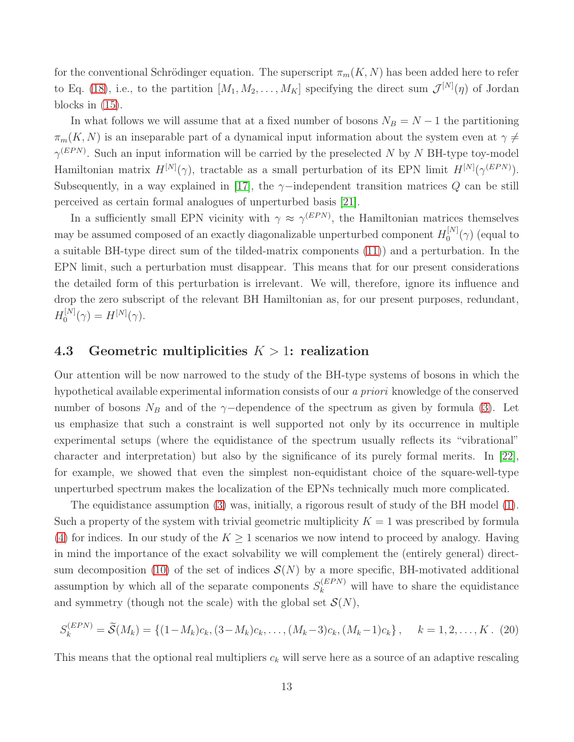for the conventional Schrödinger equation. The superscript  $\pi_m(K, N)$  has been added here to refer to Eq. [\(18\)](#page-10-3), i.e., to the partition  $[M_1, M_2, \ldots, M_K]$  specifying the direct sum  $\mathcal{J}^{[N]}(\eta)$  of Jordan blocks in [\(15\)](#page-10-2).

In what follows we will assume that at a fixed number of bosons  $N_B = N - 1$  the partitioning  $\pi_m(K, N)$  is an inseparable part of a dynamical input information about the system even at  $\gamma \neq$  $\gamma^{(EPN)}$ . Such an input information will be carried by the preselected N by N BH-type toy-model Hamiltonian matrix  $H^{[N]}(\gamma)$ , tractable as a small perturbation of its EPN limit  $H^{[N]}(\gamma^{(EPN)})$ . Subsequently, in a way explained in [\[17\]](#page-24-0), the  $\gamma$ -independent transition matrices Q can be still perceived as certain formal analogues of unperturbed basis [\[21\]](#page-24-4).

In a sufficiently small EPN vicinity with  $\gamma \approx \gamma^{(EPN)}$ , the Hamiltonian matrices themselves may be assumed composed of an exactly diagonalizable unperturbed component  $H_0^{[N]}$  $\int_0^{\lfloor IV \rfloor} (\gamma)$  (equal to a suitable BH-type direct sum of the tilded-matrix components [\(11\)](#page-7-0)) and a perturbation. In the EPN limit, such a perturbation must disappear. This means that for our present considerations the detailed form of this perturbation is irrelevant. We will, therefore, ignore its influence and drop the zero subscript of the relevant BH Hamiltonian as, for our present purposes, redundant,  $H_0^{[N]}$  $\mathcal{H}^{[N]}(\gamma) = H^{[N]}(\gamma).$ 

#### 4.3 Geometric multiplicities  $K > 1$ : realization

Our attention will be now narrowed to the study of the BH-type systems of bosons in which the hypothetical available experimental information consists of our a priori knowledge of the conserved number of bosons  $N_B$  and of the γ−dependence of the spectrum as given by formula [\(3\)](#page-4-1). Let us emphasize that such a constraint is well supported not only by its occurrence in multiple experimental setups (where the equidistance of the spectrum usually reflects its "vibrational" character and interpretation) but also by the significance of its purely formal merits. In [\[22\]](#page-24-5), for example, we showed that even the simplest non-equidistant choice of the square-well-type unperturbed spectrum makes the localization of the EPNs technically much more complicated.

The equidistance assumption [\(3\)](#page-4-1) was, initially, a rigorous result of study of the BH model [\(1\)](#page-4-2). Such a property of the system with trivial geometric multiplicity  $K = 1$  was prescribed by formula [\(4\)](#page-4-3) for indices. In our study of the  $K \geq 1$  scenarios we now intend to proceed by analogy. Having in mind the importance of the exact solvability we will complement the (entirely general) direct-sum decomposition [\(10\)](#page-6-2) of the set of indices  $\mathcal{S}(N)$  by a more specific, BH-motivated additional assumption by which all of the separate components  $S_k^{(EPN)}$  will have to share the equidistance and symmetry (though not the scale) with the global set  $\mathcal{S}(N)$ ,

<span id="page-12-0"></span>
$$
S_k^{(EPN)} = \widetilde{S}(M_k) = \{ (1 - M_k)c_k, (3 - M_k)c_k, \dots, (M_k - 3)c_k, (M_k - 1)c_k \}, \quad k = 1, 2, \dots, K. \tag{20}
$$

This means that the optional real multipliers  $c_k$  will serve here as a source of an adaptive rescaling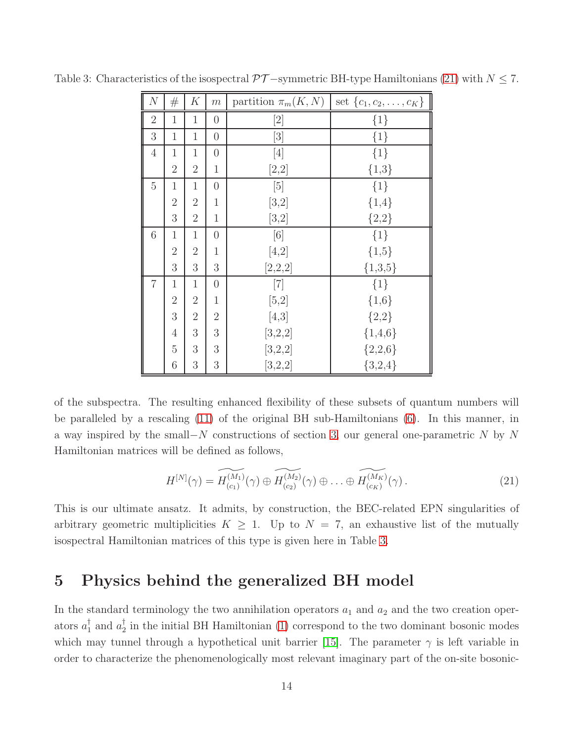<span id="page-13-1"></span>

| $\overline{N}$ | #              | K              | m                | partition $\pi_m(K,N)$                                                                                                                                                                                                                                                 | set $\{c_1, c_2, \ldots, c_K\}$ |
|----------------|----------------|----------------|------------------|------------------------------------------------------------------------------------------------------------------------------------------------------------------------------------------------------------------------------------------------------------------------|---------------------------------|
| $\overline{2}$ | $\mathbf{1}$   | $\mathbf{1}$   | $\overline{0}$   | $[2] % \includegraphics[width=0.9\columnwidth]{figures/fig_10.pdf} \caption{The graph $\mathcal{N}_1$ is a function of the parameter $\mathcal{N}_1$ and the number of parameters $\mathcal{N}_2$ and $\mathcal{N}_3$ are shown in the left and right.} \label{fig:1}$ | $\{1\}$                         |
| 3              | $\mathbf{1}$   | $\mathbf{1}$   | $\boldsymbol{0}$ | [3]                                                                                                                                                                                                                                                                    | $\{1\}$                         |
| $\overline{4}$ | $\mathbf{1}$   | $\mathbf{1}$   | $\overline{0}$   | [4]                                                                                                                                                                                                                                                                    | ${1}$                           |
|                | $\overline{2}$ | $\overline{2}$ | $\mathbf{1}$     | [2,2]                                                                                                                                                                                                                                                                  | ${1,3}$                         |
| 5              | $\mathbf{1}$   | $\mathbf{1}$   | $\overline{0}$   | $[5]$                                                                                                                                                                                                                                                                  | $\{1\}$                         |
|                | $\overline{2}$ | $\overline{2}$ | $\mathbf 1$      | $[3,2]$                                                                                                                                                                                                                                                                | ${1,4}$                         |
|                | 3              | $\overline{2}$ | $\mathbf{1}$     | [3,2]                                                                                                                                                                                                                                                                  | ${2,2}$                         |
| 6              | $\mathbf{1}$   | $\mathbf{1}$   | $\boldsymbol{0}$ | [6]                                                                                                                                                                                                                                                                    | ${1}$                           |
|                | $\overline{2}$ | $\overline{2}$ | $\mathbf 1$      | $[4,2]$                                                                                                                                                                                                                                                                | ${1,5}$                         |
|                | 3              | 3              | 3                | [2,2,2]                                                                                                                                                                                                                                                                | ${1,3,5}$                       |
| $\overline{7}$ | $\mathbf{1}$   | $\mathbf{1}$   | $\overline{0}$   | $[7]$                                                                                                                                                                                                                                                                  | $\{1\}$                         |
|                | $\overline{2}$ | $\overline{2}$ | $\mathbf{1}$     | $[5,2]$                                                                                                                                                                                                                                                                | ${1,6}$                         |
|                | 3              | $\overline{2}$ | $\overline{2}$   | [4,3]                                                                                                                                                                                                                                                                  | ${2,2}$                         |
|                | $\overline{4}$ | 3              | 3                | [3,2,2]                                                                                                                                                                                                                                                                | ${1,4,6}$                       |
|                | $\overline{5}$ | 3              | 3                | [3,2,2]                                                                                                                                                                                                                                                                | ${2,2,6}$                       |
|                | 6              | 3              | 3                | [3,2,2]                                                                                                                                                                                                                                                                | ${3,2,4}$                       |

Table 3: Characteristics of the isospectral  $\mathcal{PT}-$ symmetric BH-type Hamiltonians [\(21\)](#page-13-0) with  $N \leq 7$ .

of the subspectra. The resulting enhanced flexibility of these subsets of quantum numbers will be paralleled by a rescaling [\(11\)](#page-7-0) of the original BH sub-Hamiltonians [\(6\)](#page-5-3). In this manner, in a way inspired by the small−N constructions of section [3,](#page-6-1) our general one-parametric N by N Hamiltonian matrices will be defined as follows,

<span id="page-13-0"></span>
$$
H^{[N]}(\gamma) = \widetilde{H^{(M_1)}_{(c_1)}}(\gamma) \oplus \widetilde{H^{(M_2)}_{(c_2)}}(\gamma) \oplus \ldots \oplus \widetilde{H^{(M_K)}_{(c_K)}}(\gamma).
$$
\n(21)

This is our ultimate ansatz. It admits, by construction, the BEC-related EPN singularities of arbitrary geometric multiplicities  $K \geq 1$ . Up to  $N = 7$ , an exhaustive list of the mutually isospectral Hamiltonian matrices of this type is given here in Table [3.](#page-13-1)

# 5 Physics behind the generalized BH model

In the standard terminology the two annihilation operators  $a_1$  and  $a_2$  and the two creation operators  $a_1^{\dagger}$  and  $a_2^{\dagger}$  $\frac{1}{2}$  in the initial BH Hamiltonian [\(1\)](#page-4-2) correspond to the two dominant bosonic modes which may tunnel through a hypothetical unit barrier [\[15\]](#page-23-14). The parameter  $\gamma$  is left variable in order to characterize the phenomenologically most relevant imaginary part of the on-site bosonic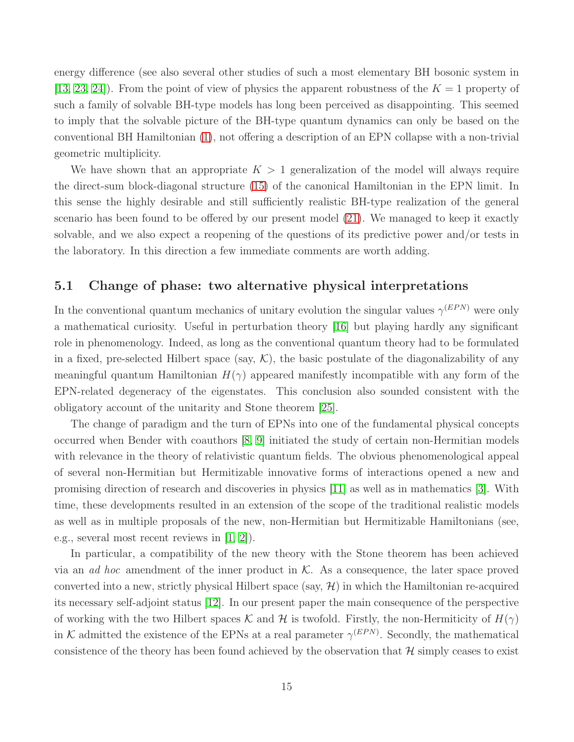energy difference (see also several other studies of such a most elementary BH bosonic system in [\[13,](#page-23-12) [23,](#page-24-6) 24]). From the point of view of physics the apparent robustness of the  $K = 1$  property of such a family of solvable BH-type models has long been perceived as disappointing. This seemed to imply that the solvable picture of the BH-type quantum dynamics can only be based on the conventional BH Hamiltonian [\(1\)](#page-4-2), not offering a description of an EPN collapse with a non-trivial geometric multiplicity.

We have shown that an appropriate  $K > 1$  generalization of the model will always require the direct-sum block-diagonal structure [\(15\)](#page-10-2) of the canonical Hamiltonian in the EPN limit. In this sense the highly desirable and still sufficiently realistic BH-type realization of the general scenario has been found to be offered by our present model [\(21\)](#page-13-0). We managed to keep it exactly solvable, and we also expect a reopening of the questions of its predictive power and/or tests in the laboratory. In this direction a few immediate comments are worth adding.

### 5.1 Change of phase: two alternative physical interpretations

In the conventional quantum mechanics of unitary evolution the singular values  $\gamma^{(EPN)}$  were only a mathematical curiosity. Useful in perturbation theory [\[16\]](#page-23-15) but playing hardly any significant role in phenomenology. Indeed, as long as the conventional quantum theory had to be formulated in a fixed, pre-selected Hilbert space (say,  $K$ ), the basic postulate of the diagonalizability of any meaningful quantum Hamiltonian  $H(\gamma)$  appeared manifestly incompatible with any form of the EPN-related degeneracy of the eigenstates. This conclusion also sounded consistent with the obligatory account of the unitarity and Stone theorem [\[25\]](#page-24-7).

The change of paradigm and the turn of EPNs into one of the fundamental physical concepts occurred when Bender with coauthors [\[8,](#page-23-7) [9\]](#page-23-8) initiated the study of certain non-Hermitian models with relevance in the theory of relativistic quantum fields. The obvious phenomenological appeal of several non-Hermitian but Hermitizable innovative forms of interactions opened a new and promising direction of research and discoveries in physics [\[11\]](#page-23-10) as well as in mathematics [\[3\]](#page-23-2). With time, these developments resulted in an extension of the scope of the traditional realistic models as well as in multiple proposals of the new, non-Hermitian but Hermitizable Hamiltonians (see, e.g., several most recent reviews in [\[1,](#page-23-0) [2\]](#page-23-1)).

In particular, a compatibility of the new theory with the Stone theorem has been achieved via an ad hoc amendment of the inner product in  $K$ . As a consequence, the later space proved converted into a new, strictly physical Hilbert space (say,  $\mathcal{H}$ ) in which the Hamiltonian re-acquired its necessary self-adjoint status [\[12\]](#page-23-11). In our present paper the main consequence of the perspective of working with the two Hilbert spaces K and H is twofold. Firstly, the non-Hermiticity of  $H(\gamma)$ in K admitted the existence of the EPNs at a real parameter  $\gamma^{(EPN)}$ . Secondly, the mathematical consistence of the theory has been found achieved by the observation that  $\mathcal{H}$  simply ceases to exist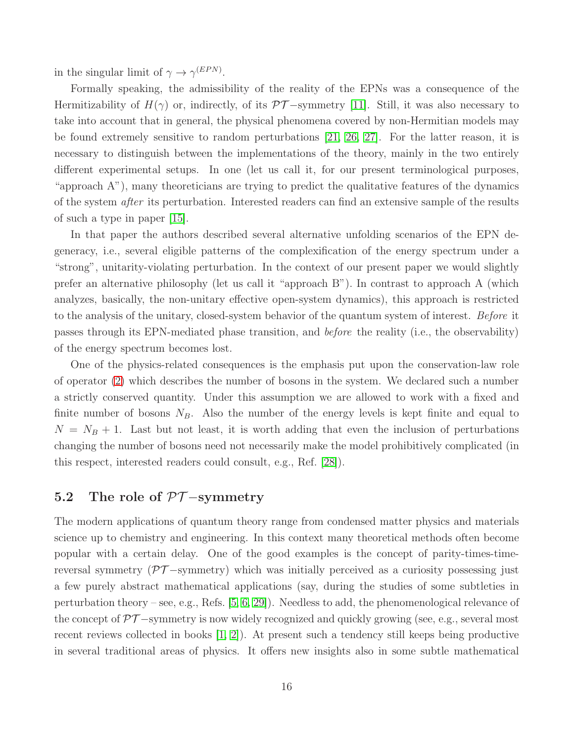in the singular limit of  $\gamma \to \gamma^{(EPN)}$ .

Formally speaking, the admissibility of the reality of the EPNs was a consequence of the Hermitizability of  $H(\gamma)$  or, indirectly, of its  $\mathcal{PT}-symmetry$  [\[11\]](#page-23-10). Still, it was also necessary to take into account that in general, the physical phenomena covered by non-Hermitian models may be found extremely sensitive to random perturbations [\[21,](#page-24-4) [26,](#page-24-8) [27\]](#page-24-9). For the latter reason, it is necessary to distinguish between the implementations of the theory, mainly in the two entirely different experimental setups. In one (let us call it, for our present terminological purposes, "approach A"), many theoreticians are trying to predict the qualitative features of the dynamics of the system after its perturbation. Interested readers can find an extensive sample of the results of such a type in paper [\[15\]](#page-23-14).

In that paper the authors described several alternative unfolding scenarios of the EPN degeneracy, i.e., several eligible patterns of the complexification of the energy spectrum under a "strong", unitarity-violating perturbation. In the context of our present paper we would slightly prefer an alternative philosophy (let us call it "approach B"). In contrast to approach A (which analyzes, basically, the non-unitary effective open-system dynamics), this approach is restricted to the analysis of the unitary, closed-system behavior of the quantum system of interest. Before it passes through its EPN-mediated phase transition, and before the reality (i.e., the observability) of the energy spectrum becomes lost.

One of the physics-related consequences is the emphasis put upon the conservation-law role of operator [\(2\)](#page-4-4) which describes the number of bosons in the system. We declared such a number a strictly conserved quantity. Under this assumption we are allowed to work with a fixed and finite number of bosons  $N_B$ . Also the number of the energy levels is kept finite and equal to  $N = N_B + 1$ . Last but not least, it is worth adding that even the inclusion of perturbations changing the number of bosons need not necessarily make the model prohibitively complicated (in this respect, interested readers could consult, e.g., Ref. [\[28\]](#page-24-10)).

### 5.2 The role of  $\mathcal{PT}-symmetry$

The modern applications of quantum theory range from condensed matter physics and materials science up to chemistry and engineering. In this context many theoretical methods often become popular with a certain delay. One of the good examples is the concept of parity-times-timereversal symmetry ( $\mathcal{PT}-symmetry$ ) which was initially perceived as a curiosity possessing just a few purely abstract mathematical applications (say, during the studies of some subtleties in perturbation theory – see, e.g., Refs. [\[5,](#page-23-4) [6,](#page-23-5) [29\]](#page-24-11)). Needless to add, the phenomenological relevance of the concept of  $\mathcal{PT}-s$ ymmetry is now widely recognized and quickly growing (see, e.g., several most recent reviews collected in books [\[1,](#page-23-0) [2\]](#page-23-1)). At present such a tendency still keeps being productive in several traditional areas of physics. It offers new insights also in some subtle mathematical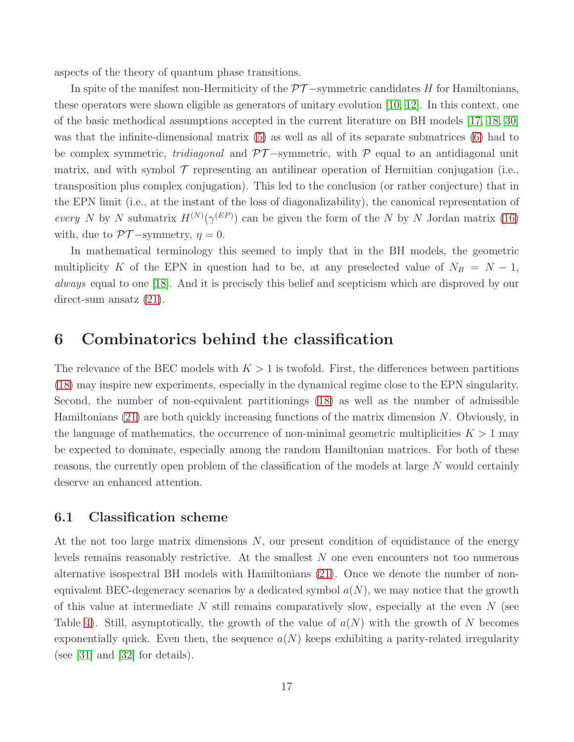aspects of the theory of quantum phase transitions.

In spite of the manifest non-Hermiticity of the  $\mathcal{PT}-symmetric$  candidates H for Hamiltonians, these operators were shown eligible as generators of unitary evolution [\[10,](#page-23-9) [12\]](#page-23-11). In this context, one of the basic methodical assumptions accepted in the current literature on BH models [\[17,](#page-24-0) [18,](#page-24-1) [30\]](#page-24-12) was that the infinite-dimensional matrix [\(5\)](#page-5-2) as well as all of its separate submatrices [\(6\)](#page-5-3) had to be complex symmetric, *tridiagonal* and  $\mathcal{PT}-$ symmetric, with P equal to an antidiagonal unit matrix, and with symbol  $\mathcal T$  representing an antilinear operation of Hermitian conjugation (i.e., transposition plus complex conjugation). This led to the conclusion (or rather conjecture) that in the EPN limit (i.e., at the instant of the loss of diagonalizability), the canonical representation of every N by N submatrix  $H^{(N)}(\gamma^{(EP)})$  can be given the form of the N by N Jordan matrix [\(16\)](#page-10-1) with, due to  $\mathcal{PT}-symmetry, \eta = 0$ .

In mathematical terminology this seemed to imply that in the BH models, the geometric multiplicity K of the EPN in question had to be, at any preselected value of  $N_B = N - 1$ , always equal to one [\[18\]](#page-24-1). And it is precisely this belief and scepticism which are disproved by our direct-sum ansatz [\(21\)](#page-13-0).

### 6 Combinatorics behind the classification

The relevance of the BEC models with  $K > 1$  is twofold. First, the differences between partitions [\(18\)](#page-10-3) may inspire new experiments, especially in the dynamical regime close to the EPN singularity. Second, the number of non-equivalent partitionings [\(18\)](#page-10-3) as well as the number of admissible Hamiltonians  $(21)$  are both quickly increasing functions of the matrix dimension N. Obviously, in the language of mathematics, the occurrence of non-minimal geometric multiplicities  $K > 1$  may be expected to dominate, especially among the random Hamiltonian matrices. For both of these reasons, the currently open problem of the classification of the models at large N would certainly deserve an enhanced attention.

#### 6.1 Classification scheme

At the not too large matrix dimensions N, our present condition of equidistance of the energy levels remains reasonably restrictive. At the smallest N one even encounters not too numerous alternative isospectral BH models with Hamiltonians [\(21\)](#page-13-0). Once we denote the number of nonequivalent BEC-degeneracy scenarios by a dedicated symbol  $a(N)$ , we may notice that the growth of this value at intermediate N still remains comparatively slow, especially at the even  $N$  (see Table [4\)](#page-17-0). Still, asymptotically, the growth of the value of  $a(N)$  with the growth of N becomes exponentially quick. Even then, the sequence  $a(N)$  keeps exhibiting a parity-related irregularity (see [\[31\]](#page-24-13) and [\[32\]](#page-24-14) for details).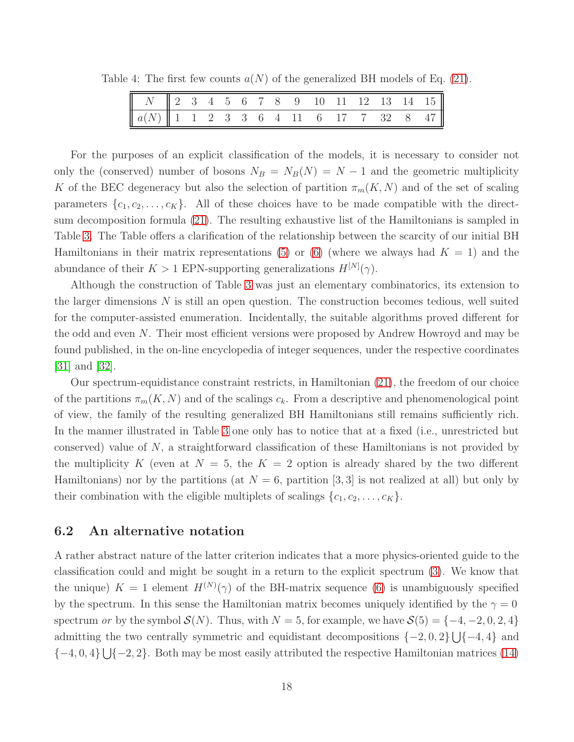Table 4: The first few counts  $a(N)$  of the generalized BH models of Eq. [\(21\)](#page-13-0).

<span id="page-17-0"></span>

| $\begin{array}{ c ccccccccccc }\hline N&\ 2&3&4&5&6&7&8&9&10&11&12&13&14&15\end{array}$ |  |  |  |  |  |  |  |
|-----------------------------------------------------------------------------------------|--|--|--|--|--|--|--|
| $a(N)$ 1 1 2 3 3 6 4 11 6 17 7 32 8 47                                                  |  |  |  |  |  |  |  |

For the purposes of an explicit classification of the models, it is necessary to consider not only the (conserved) number of bosons  $N_B = N_B(N) = N - 1$  and the geometric multiplicity K of the BEC degeneracy but also the selection of partition  $\pi_m(K, N)$  and of the set of scaling parameters  $\{c_1, c_2, \ldots, c_K\}$ . All of these choices have to be made compatible with the directsum decomposition formula [\(21\)](#page-13-0). The resulting exhaustive list of the Hamiltonians is sampled in Table [3.](#page-13-1) The Table offers a clarification of the relationship between the scarcity of our initial BH Hamiltonians in their matrix representations [\(5\)](#page-5-2) or [\(6\)](#page-5-3) (where we always had  $K = 1$ ) and the abundance of their  $K > 1$  EPN-supporting generalizations  $H^{[N]}(\gamma)$ .

Although the construction of Table [3](#page-13-1) was just an elementary combinatorics, its extension to the larger dimensions  $N$  is still an open question. The construction becomes tedious, well suited for the computer-assisted enumeration. Incidentally, the suitable algorithms proved different for the odd and even N. Their most efficient versions were proposed by Andrew Howroyd and may be found published, in the on-line encyclopedia of integer sequences, under the respective coordinates [\[31\]](#page-24-13) and [\[32\]](#page-24-14).

Our spectrum-equidistance constraint restricts, in Hamiltonian [\(21\)](#page-13-0), the freedom of our choice of the partitions  $\pi_m(K, N)$  and of the scalings  $c_k$ . From a descriptive and phenomenological point of view, the family of the resulting generalized BH Hamiltonians still remains sufficiently rich. In the manner illustrated in Table [3](#page-13-1) one only has to notice that at a fixed (i.e., unrestricted but conserved) value of N, a straightforward classification of these Hamiltonians is not provided by the multiplicity K (even at  $N = 5$ , the  $K = 2$  option is already shared by the two different Hamiltonians) nor by the partitions (at  $N = 6$ , partition [3, 3] is not realized at all) but only by their combination with the eligible multiplets of scalings  $\{c_1, c_2, \ldots, c_K\}$ .

#### <span id="page-17-1"></span>6.2 An alternative notation

A rather abstract nature of the latter criterion indicates that a more physics-oriented guide to the classification could and might be sought in a return to the explicit spectrum [\(3\)](#page-4-1). We know that the unique)  $K = 1$  element  $H^{(N)}(\gamma)$  of the BH-matrix sequence [\(6\)](#page-5-3) is unambiguously specified by the spectrum. In this sense the Hamiltonian matrix becomes uniquely identified by the  $\gamma = 0$ spectrum or by the symbol  $\mathcal{S}(N)$ . Thus, with  $N = 5$ , for example, we have  $\mathcal{S}(5) = \{-4, -2, 0, 2, 4\}$ admitting the two centrally symmetric and equidistant decompositions  $\{-2, 0, 2\} \cup \{-4, 4\}$  and  $\{-4, 0, 4\} \bigcup \{-2, 2\}$ . Both may be most easily attributed the respective Hamiltonian matrices [\(14\)](#page-9-0)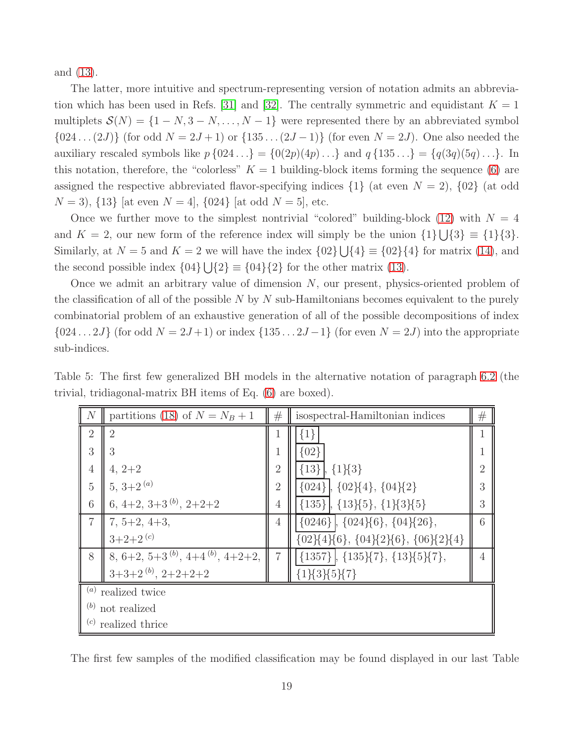and [\(13\)](#page-9-1).

The latter, more intuitive and spectrum-representing version of notation admits an abbrevia-tion which has been used in Refs. [\[31\]](#page-24-13) and [\[32\]](#page-24-14). The centrally symmetric and equidistant  $K = 1$ multiplets  $\mathcal{S}(N) = \{1 - N, 3 - N, \ldots, N - 1\}$  were represented there by an abbreviated symbol  ${024... (2J)}$  (for odd  $N = 2J + 1$ ) or  ${135... (2J-1)}$  (for even  $N = 2J$ ). One also needed the auxiliary rescaled symbols like  $p\{024...\} = \{0(2p)(4p)... \}$  and  $q\{135...\} = \{q(3q)(5q)... \}$ . In this notation, therefore, the "colorless"  $K = 1$  building-block items forming the sequence [\(6\)](#page-5-3) are assigned the respective abbreviated flavor-specifying indices  $\{1\}$  (at even  $N = 2$ ),  $\{02\}$  (at odd  $N = 3$ ,  $\{13\}$  [at even  $N = 4$ ],  $\{024\}$  [at odd  $N = 5$ ], etc.

Once we further move to the simplest nontrivial "colored" building-block [\(12\)](#page-7-2) with  $N = 4$ and  $K = 2$ , our new form of the reference index will simply be the union  $\{1\} \cup \{3\} \equiv \{1\} \{3\}.$ Similarly, at  $N = 5$  and  $K = 2$  we will have the index  $\{02\} \cup \{4\} \equiv \{02\} \{4\}$  for matrix  $(14)$ , and the second possible index  $\{04\} \bigcup \{2\} \equiv \{04\} \{2\}$  for the other matrix [\(13\)](#page-9-1).

Once we admit an arbitrary value of dimension N, our present, physics-oriented problem of the classification of all of the possible  $N$  by  $N$  sub-Hamiltonians becomes equivalent to the purely combinatorial problem of an exhaustive generation of all of the possible decompositions of index  $\{024 \dots 2J\}$  (for odd  $N = 2J+1$ ) or index  $\{135 \dots 2J-1\}$  (for even  $N = 2J$ ) into the appropriate sub-indices.

Table 5: The first few generalized BH models in the alternative notation of paragraph [6.2](#page-17-1) (the trivial, tridiagonal-matrix BH items of Eq. [\(6\)](#page-5-3) are boxed).

<span id="page-18-0"></span>

| N              | partitions (18) of $N = N_B + 1$             | #              | isospectral-Hamiltonian indices                          | # |  |  |  |  |
|----------------|----------------------------------------------|----------------|----------------------------------------------------------|---|--|--|--|--|
| $\overline{2}$ | $\overline{2}$                               |                | $\{1\}$                                                  |   |  |  |  |  |
| 3              | 3                                            |                | ${02}$                                                   |   |  |  |  |  |
| $\overline{4}$ | $4, 2+2$                                     | $\overline{2}$ | ${13}$<br>$\{1\}\{3\}$                                   |   |  |  |  |  |
| 5              | $5, 3+2^{(a)}$                               | $\overline{2}$ | ${024}, {02}{4}, {04}{2}$                                |   |  |  |  |  |
| 6              | 6, 4+2, 3+3 $^{(b)}$ , 2+2+2                 | 4              | ${135}, {13}{5}, {1}{3}{5}$                              | 3 |  |  |  |  |
| $\overline{7}$ | $7, 5+2, 4+3,$                               | 4              | ${0246}$ , ${024}{6}$ , ${04}{26}$ ,                     | 6 |  |  |  |  |
|                | $3+2+2$ <sup>(c)</sup>                       |                | $\{02\}\{4\}\{6\},\ \{04\}\{2\}\{6\},\ \{06\}\{2\}\{4\}$ |   |  |  |  |  |
| 8              | 8, 6+2, 5+3 $^{(b)}$ , 4+4 $^{(b)}$ , 4+2+2, | $\overline{7}$ | ${1357}, {135}{7}, {13}{5}{7},$                          |   |  |  |  |  |
|                | $3+3+2^{(b)}$ , $2+2+2+2$                    |                | ${1}83{5}7$                                              |   |  |  |  |  |
|                | $(a)$ realized twice                         |                |                                                          |   |  |  |  |  |
|                | $(b)$ not realized                           |                |                                                          |   |  |  |  |  |
|                | $(c)$ realized thrice                        |                |                                                          |   |  |  |  |  |

The first few samples of the modified classification may be found displayed in our last Table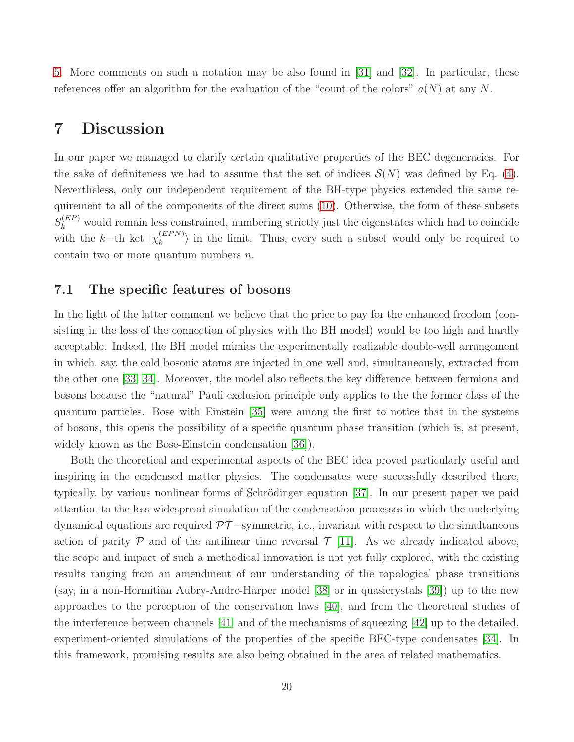[5.](#page-18-0) More comments on such a notation may be also found in [\[31\]](#page-24-13) and [\[32\]](#page-24-14). In particular, these references offer an algorithm for the evaluation of the "count of the colors"  $a(N)$  at any N.

# 7 Discussion

In our paper we managed to clarify certain qualitative properties of the BEC degeneracies. For the sake of definiteness we had to assume that the set of indices  $\mathcal{S}(N)$  was defined by Eq. [\(4\)](#page-4-3). Nevertheless, only our independent requirement of the BH-type physics extended the same requirement to all of the components of the direct sums [\(10\)](#page-6-2). Otherwise, the form of these subsets  $S_k^{(EP)}$  would remain less constrained, numbering strictly just the eigenstates which had to coincide with the  $k$ -th ket  $|\chi_k^{(EPN)}|$  $\binom{(EPN)}{k}$  in the limit. Thus, every such a subset would only be required to contain two or more quantum numbers  $n$ .

### 7.1 The specific features of bosons

In the light of the latter comment we believe that the price to pay for the enhanced freedom (consisting in the loss of the connection of physics with the BH model) would be too high and hardly acceptable. Indeed, the BH model mimics the experimentally realizable double-well arrangement in which, say, the cold bosonic atoms are injected in one well and, simultaneously, extracted from the other one [\[33,](#page-24-15) [34\]](#page-24-16). Moreover, the model also reflects the key difference between fermions and bosons because the "natural" Pauli exclusion principle only applies to the the former class of the quantum particles. Bose with Einstein [\[35\]](#page-25-0) were among the first to notice that in the systems of bosons, this opens the possibility of a specific quantum phase transition (which is, at present, widely known as the Bose-Einstein condensation [\[36\]](#page-25-1)).

Both the theoretical and experimental aspects of the BEC idea proved particularly useful and inspiring in the condensed matter physics. The condensates were successfully described there, typically, by various nonlinear forms of Schrödinger equation [\[37\]](#page-25-2). In our present paper we paid attention to the less widespread simulation of the condensation processes in which the underlying dynamical equations are required  $\mathcal{PT}-symmetric$ , i.e., invariant with respect to the simultaneous action of parity  $P$  and of the antilinear time reversal  $T$  [\[11\]](#page-23-10). As we already indicated above, the scope and impact of such a methodical innovation is not yet fully explored, with the existing results ranging from an amendment of our understanding of the topological phase transitions (say, in a non-Hermitian Aubry-Andre-Harper model [\[38\]](#page-25-3) or in quasicrystals [\[39\]](#page-25-4)) up to the new approaches to the perception of the conservation laws [\[40\]](#page-25-5), and from the theoretical studies of the interference between channels [\[41\]](#page-25-6) and of the mechanisms of squeezing [\[42\]](#page-25-7) up to the detailed, experiment-oriented simulations of the properties of the specific BEC-type condensates [\[34\]](#page-24-16). In this framework, promising results are also being obtained in the area of related mathematics.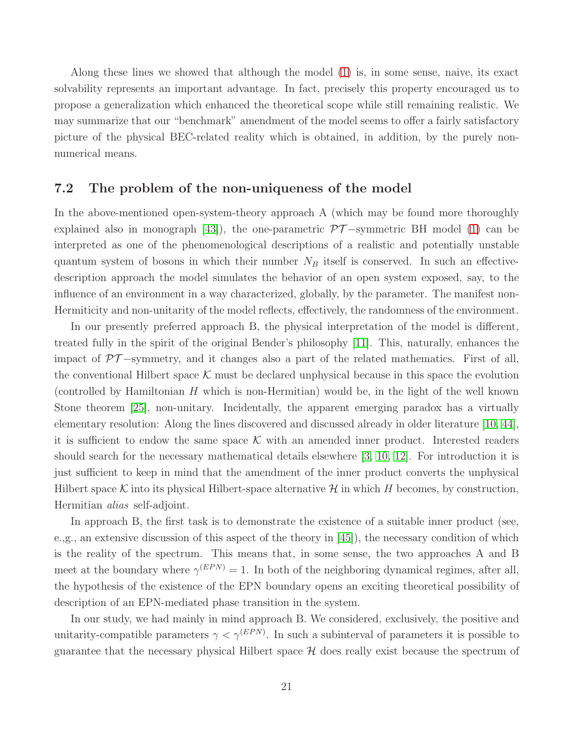Along these lines we showed that although the model [\(1\)](#page-4-2) is, in some sense, naive, its exact solvability represents an important advantage. In fact, precisely this property encouraged us to propose a generalization which enhanced the theoretical scope while still remaining realistic. We may summarize that our "benchmark" amendment of the model seems to offer a fairly satisfactory picture of the physical BEC-related reality which is obtained, in addition, by the purely nonnumerical means.

#### 7.2 The problem of the non-uniqueness of the model

In the above-mentioned open-system-theory approach A (which may be found more thoroughly explained also in monograph [\[43\]](#page-25-8)), the one-parametric  $\mathcal{PT}-symmetric$  BH model [\(1\)](#page-4-2) can be interpreted as one of the phenomenological descriptions of a realistic and potentially unstable quantum system of bosons in which their number  $N_B$  itself is conserved. In such an effectivedescription approach the model simulates the behavior of an open system exposed, say, to the influence of an environment in a way characterized, globally, by the parameter. The manifest non-Hermiticity and non-unitarity of the model reflects, effectively, the randomness of the environment.

In our presently preferred approach B, the physical interpretation of the model is different, treated fully in the spirit of the original Bender's philosophy [\[11\]](#page-23-10). This, naturally, enhances the impact of  $\mathcal{PT}-symmetry$ , and it changes also a part of the related mathematics. First of all, the conventional Hilbert space  $K$  must be declared unphysical because in this space the evolution (controlled by Hamiltonian  $H$  which is non-Hermitian) would be, in the light of the well known Stone theorem [\[25\]](#page-24-7), non-unitary. Incidentally, the apparent emerging paradox has a virtually elementary resolution: Along the lines discovered and discussed already in older literature [\[10,](#page-23-9) [44\]](#page-25-9), it is sufficient to endow the same space  $K$  with an amended inner product. Interested readers should search for the necessary mathematical details elsewhere [\[3,](#page-23-2) [10,](#page-23-9) [12\]](#page-23-11). For introduction it is just sufficient to keep in mind that the amendment of the inner product converts the unphysical Hilbert space K into its physical Hilbert-space alternative  $\mathcal H$  in which H becomes, by construction, Hermitian alias self-adjoint.

In approach B, the first task is to demonstrate the existence of a suitable inner product (see, e.,g., an extensive discussion of this aspect of the theory in [\[45\]](#page-25-10)), the necessary condition of which is the reality of the spectrum. This means that, in some sense, the two approaches A and B meet at the boundary where  $\gamma^{(EPN)} = 1$ . In both of the neighboring dynamical regimes, after all, the hypothesis of the existence of the EPN boundary opens an exciting theoretical possibility of description of an EPN-mediated phase transition in the system.

In our study, we had mainly in mind approach B. We considered, exclusively, the positive and unitarity-compatible parameters  $\gamma < \gamma^{(EPN)}$ . In such a subinterval of parameters it is possible to guarantee that the necessary physical Hilbert space  $H$  does really exist because the spectrum of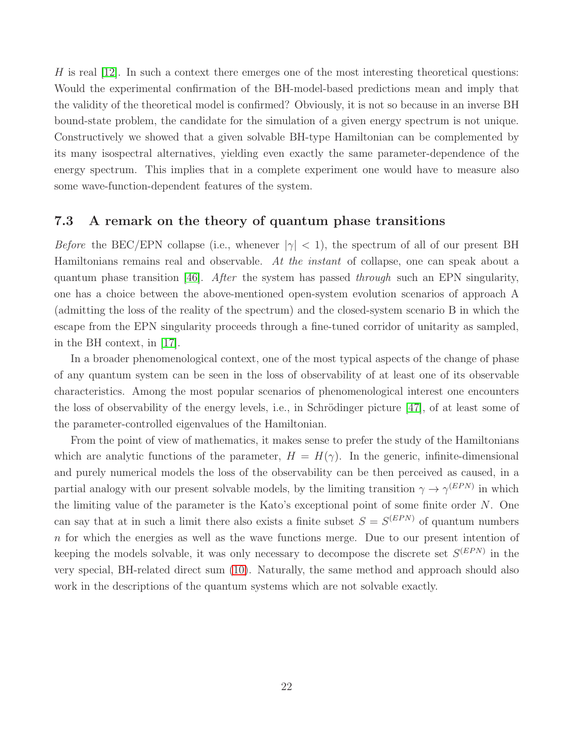H is real  $[12]$ . In such a context there emerges one of the most interesting theoretical questions: Would the experimental confirmation of the BH-model-based predictions mean and imply that the validity of the theoretical model is confirmed? Obviously, it is not so because in an inverse BH bound-state problem, the candidate for the simulation of a given energy spectrum is not unique. Constructively we showed that a given solvable BH-type Hamiltonian can be complemented by its many isospectral alternatives, yielding even exactly the same parameter-dependence of the energy spectrum. This implies that in a complete experiment one would have to measure also some wave-function-dependent features of the system.

#### 7.3 A remark on the theory of quantum phase transitions

*Before* the BEC/EPN collapse (i.e., whenever  $|\gamma| < 1$ ), the spectrum of all of our present BH Hamiltonians remains real and observable. At the instant of collapse, one can speak about a quantum phase transition [\[46\]](#page-25-11). After the system has passed through such an EPN singularity, one has a choice between the above-mentioned open-system evolution scenarios of approach A (admitting the loss of the reality of the spectrum) and the closed-system scenario B in which the escape from the EPN singularity proceeds through a fine-tuned corridor of unitarity as sampled, in the BH context, in [\[17\]](#page-24-0).

In a broader phenomenological context, one of the most typical aspects of the change of phase of any quantum system can be seen in the loss of observability of at least one of its observable characteristics. Among the most popular scenarios of phenomenological interest one encounters the loss of observability of the energy levels, i.e., in Schrödinger picture  $[47]$ , of at least some of the parameter-controlled eigenvalues of the Hamiltonian.

From the point of view of mathematics, it makes sense to prefer the study of the Hamiltonians which are analytic functions of the parameter,  $H = H(\gamma)$ . In the generic, infinite-dimensional and purely numerical models the loss of the observability can be then perceived as caused, in a partial analogy with our present solvable models, by the limiting transition  $\gamma \to \gamma^{(EPN)}$  in which the limiting value of the parameter is the Kato's exceptional point of some finite order N. One can say that at in such a limit there also exists a finite subset  $S = S^{(EPN)}$  of quantum numbers n for which the energies as well as the wave functions merge. Due to our present intention of keeping the models solvable, it was only necessary to decompose the discrete set  $S^{(EPN)}$  in the very special, BH-related direct sum [\(10\)](#page-6-2). Naturally, the same method and approach should also work in the descriptions of the quantum systems which are not solvable exactly.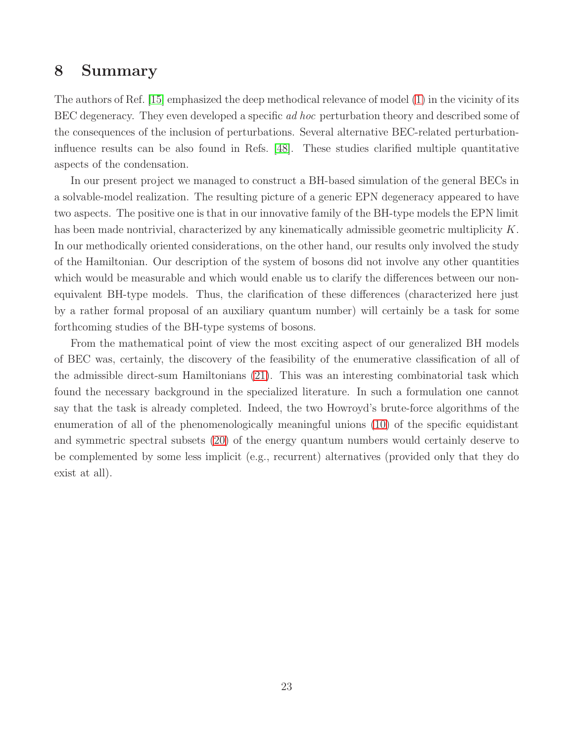# 8 Summary

The authors of Ref. [\[15\]](#page-23-14) emphasized the deep methodical relevance of model [\(1\)](#page-4-2) in the vicinity of its BEC degeneracy. They even developed a specific *ad hoc* perturbation theory and described some of the consequences of the inclusion of perturbations. Several alternative BEC-related perturbationinfluence results can be also found in Refs. [\[48\]](#page-25-13). These studies clarified multiple quantitative aspects of the condensation.

In our present project we managed to construct a BH-based simulation of the general BECs in a solvable-model realization. The resulting picture of a generic EPN degeneracy appeared to have two aspects. The positive one is that in our innovative family of the BH-type models the EPN limit has been made nontrivial, characterized by any kinematically admissible geometric multiplicity K. In our methodically oriented considerations, on the other hand, our results only involved the study of the Hamiltonian. Our description of the system of bosons did not involve any other quantities which would be measurable and which would enable us to clarify the differences between our nonequivalent BH-type models. Thus, the clarification of these differences (characterized here just by a rather formal proposal of an auxiliary quantum number) will certainly be a task for some forthcoming studies of the BH-type systems of bosons.

From the mathematical point of view the most exciting aspect of our generalized BH models of BEC was, certainly, the discovery of the feasibility of the enumerative classification of all of the admissible direct-sum Hamiltonians [\(21\)](#page-13-0). This was an interesting combinatorial task which found the necessary background in the specialized literature. In such a formulation one cannot say that the task is already completed. Indeed, the two Howroyd's brute-force algorithms of the enumeration of all of the phenomenologically meaningful unions [\(10\)](#page-6-2) of the specific equidistant and symmetric spectral subsets [\(20\)](#page-12-0) of the energy quantum numbers would certainly deserve to be complemented by some less implicit (e.g., recurrent) alternatives (provided only that they do exist at all).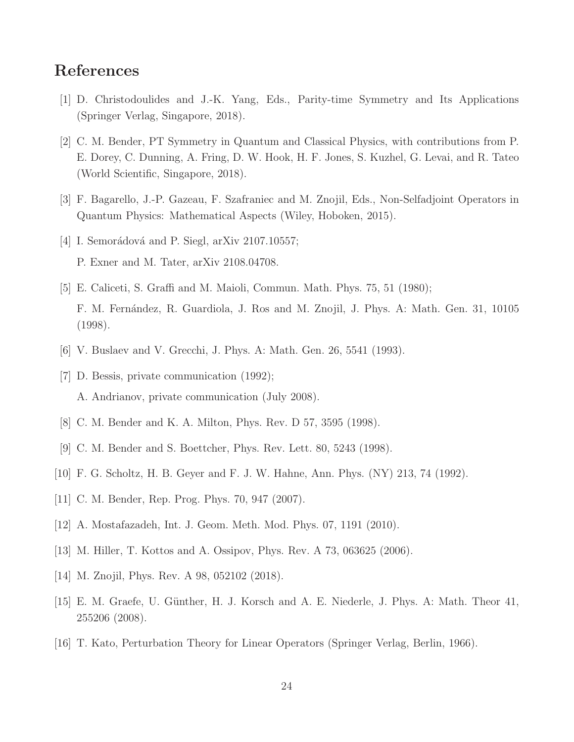# <span id="page-23-0"></span>References

- <span id="page-23-1"></span>[1] D. Christodoulides and J.-K. Yang, Eds., Parity-time Symmetry and Its Applications (Springer Verlag, Singapore, 2018).
- [2] C. M. Bender, PT Symmetry in Quantum and Classical Physics, with contributions from P. E. Dorey, C. Dunning, A. Fring, D. W. Hook, H. F. Jones, S. Kuzhel, G. Levai, and R. Tateo (World Scientific, Singapore, 2018).
- <span id="page-23-3"></span><span id="page-23-2"></span>[3] F. Bagarello, J.-P. Gazeau, F. Szafraniec and M. Znojil, Eds., Non-Selfadjoint Operators in Quantum Physics: Mathematical Aspects (Wiley, Hoboken, 2015).
- <span id="page-23-4"></span>[4] I. Semorádová and P. Siegl, arXiv 2107.10557; P. Exner and M. Tater, arXiv 2108.04708.
- [5] E. Caliceti, S. Graffi and M. Maioli, Commun. Math. Phys. 75, 51 (1980); F. M. Fernández, R. Guardiola, J. Ros and M. Znojil, J. Phys. A: Math. Gen. 31, 10105 (1998).
- <span id="page-23-6"></span><span id="page-23-5"></span>[6] V. Buslaev and V. Grecchi, J. Phys. A: Math. Gen. 26, 5541 (1993).
- <span id="page-23-7"></span>[7] D. Bessis, private communication  $(1992)$ ; A. Andrianov, private communication (July 2008).
- <span id="page-23-8"></span>[8] C. M. Bender and K. A. Milton, Phys. Rev. D 57, 3595 (1998).
- <span id="page-23-9"></span>[9] C. M. Bender and S. Boettcher, Phys. Rev. Lett. 80, 5243 (1998).
- <span id="page-23-10"></span>[10] F. G. Scholtz, H. B. Geyer and F. J. W. Hahne, Ann. Phys. (NY) 213, 74 (1992).
- <span id="page-23-11"></span>[11] C. M. Bender, Rep. Prog. Phys. 70, 947 (2007).
- <span id="page-23-12"></span>[12] A. Mostafazadeh, Int. J. Geom. Meth. Mod. Phys. 07, 1191 (2010).
- <span id="page-23-13"></span>[13] M. Hiller, T. Kottos and A. Ossipov, Phys. Rev. A 73, 063625 (2006).
- <span id="page-23-14"></span>[14] M. Znojil, Phys. Rev. A 98, 052102 (2018).
- <span id="page-23-15"></span>[15] E. M. Graefe, U. G¨unther, H. J. Korsch and A. E. Niederle, J. Phys. A: Math. Theor 41, 255206 (2008).
- [16] T. Kato, Perturbation Theory for Linear Operators (Springer Verlag, Berlin, 1966).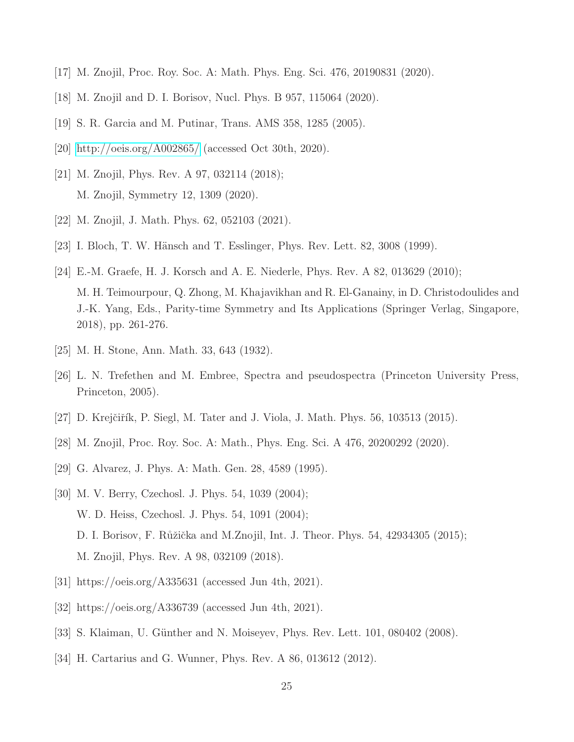- <span id="page-24-1"></span><span id="page-24-0"></span>[17] M. Znojil, Proc. Roy. Soc. A: Math. Phys. Eng. Sci. 476, 20190831 (2020).
- <span id="page-24-2"></span>[18] M. Znojil and D. I. Borisov, Nucl. Phys. B 957, 115064 (2020).
- <span id="page-24-3"></span>[19] S. R. Garcia and M. Putinar, Trans. AMS 358, 1285 (2005).
- <span id="page-24-4"></span>[20]<http://oeis.org/A002865/> (accessed Oct 30th, 2020).
- <span id="page-24-5"></span>[21] M. Znojil, Phys. Rev. A 97, 032114 (2018); M. Znojil, Symmetry 12, 1309 (2020).
- <span id="page-24-6"></span>[22] M. Znojil, J. Math. Phys. 62, 052103 (2021).
- [23] I. Bloch, T. W. Hänsch and T. Esslinger, Phys. Rev. Lett. 82, 3008 (1999).
- [24] E.-M. Graefe, H. J. Korsch and A. E. Niederle, Phys. Rev. A 82, 013629 (2010); M. H. Teimourpour, Q. Zhong, M. Khajavikhan and R. El-Ganainy, in D. Christodoulides and J.-K. Yang, Eds., Parity-time Symmetry and Its Applications (Springer Verlag, Singapore, 2018), pp. 261-276.
- <span id="page-24-8"></span><span id="page-24-7"></span>[25] M. H. Stone, Ann. Math. 33, 643 (1932).
- <span id="page-24-9"></span>[26] L. N. Trefethen and M. Embree, Spectra and pseudospectra (Princeton University Press, Princeton, 2005).
- <span id="page-24-10"></span>[27] D. Krejčiřík, P. Siegl, M. Tater and J. Viola, J. Math. Phys. 56, 103513 (2015).
- <span id="page-24-11"></span>[28] M. Znojil, Proc. Roy. Soc. A: Math., Phys. Eng. Sci. A 476, 20200292 (2020).
- <span id="page-24-12"></span>[29] G. Alvarez, J. Phys. A: Math. Gen. 28, 4589 (1995).
- [30] M. V. Berry, Czechosl. J. Phys. 54, 1039 (2004); W. D. Heiss, Czechosl. J. Phys. 54, 1091 (2004); D. I. Borisov, F. Růžička and M.Znojil, Int. J. Theor. Phys.  $54$ ,  $42934305$   $(2015)$ ; M. Znojil, Phys. Rev. A 98, 032109 (2018).
- <span id="page-24-14"></span><span id="page-24-13"></span>[31] https://oeis.org/A335631 (accessed Jun 4th, 2021).
- <span id="page-24-15"></span>[32] https://oeis.org/A336739 (accessed Jun 4th, 2021).
- <span id="page-24-16"></span>[33] S. Klaiman, U. Günther and N. Moiseyev, Phys. Rev. Lett. 101, 080402 (2008).
- [34] H. Cartarius and G. Wunner, Phys. Rev. A 86, 013612 (2012).